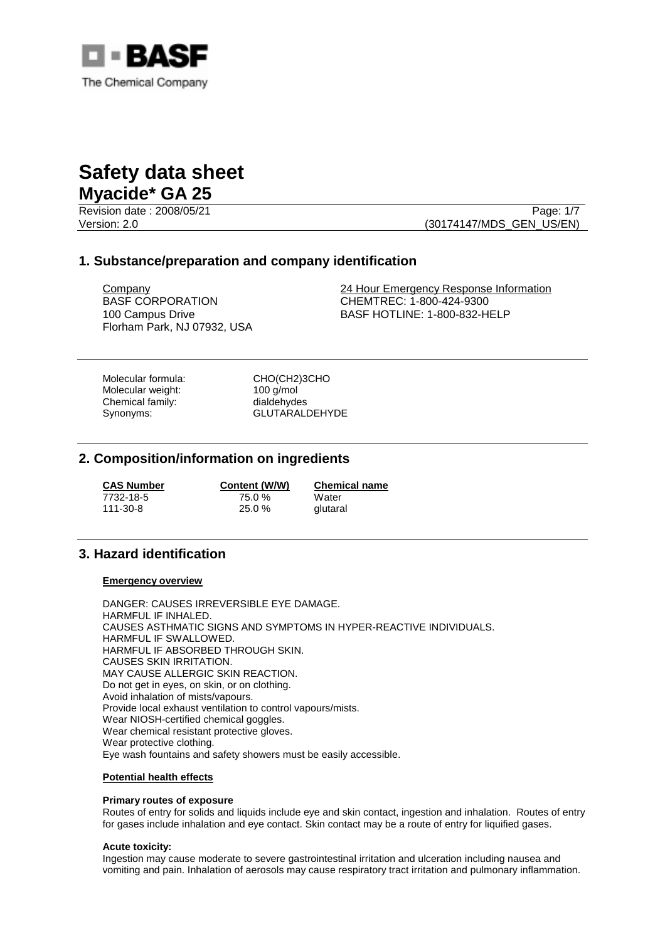

Revision date : 2008/05/21 Page: 1/7 Version: 2.0 (30174147/MDS\_GEN\_US/EN)

# **1. Substance/preparation and company identification**

BASF CORPORATION 100 Campus Drive Florham Park, NJ 07932, USA

Company 24 Hour Emergency Response Information CHEMTREC: 1-800-424-9300 BASF HOTLINE: 1-800-832-HELP

Molecular formula: CHO(CH2)3CHO<br>
Molecular weight: 100 g/mol Molecular weight: Chemical family: dialdehydes

Synonyms: GLUTARALDEHYDE

# **2. Composition/information on ingredients**

| <b>CAS Number</b> | Content (W/W) | <b>Chemical name</b> |
|-------------------|---------------|----------------------|
| 7732-18-5         | 75.0 %        | Water                |
| 111-30-8          | $25.0 \%$     | glutaral             |

# **3. Hazard identification**

## **Emergency overview**

DANGER: CAUSES IRREVERSIBLE EYE DAMAGE. HARMFUL IF INHALED. CAUSES ASTHMATIC SIGNS AND SYMPTOMS IN HYPER-REACTIVE INDIVIDUALS. HARMFUL IF SWALLOWED. HARMFUL IF ABSORBED THROUGH SKIN. CAUSES SKIN IRRITATION. MAY CAUSE ALLERGIC SKIN REACTION. Do not get in eyes, on skin, or on clothing. Avoid inhalation of mists/vapours. Provide local exhaust ventilation to control vapours/mists. Wear NIOSH-certified chemical goggles. Wear chemical resistant protective gloves. Wear protective clothing. Eye wash fountains and safety showers must be easily accessible.

# **Potential health effects**

## **Primary routes of exposure**

Routes of entry for solids and liquids include eye and skin contact, ingestion and inhalation. Routes of entry for gases include inhalation and eye contact. Skin contact may be a route of entry for liquified gases.

## **Acute toxicity:**

Ingestion may cause moderate to severe gastrointestinal irritation and ulceration including nausea and vomiting and pain. Inhalation of aerosols may cause respiratory tract irritation and pulmonary inflammation.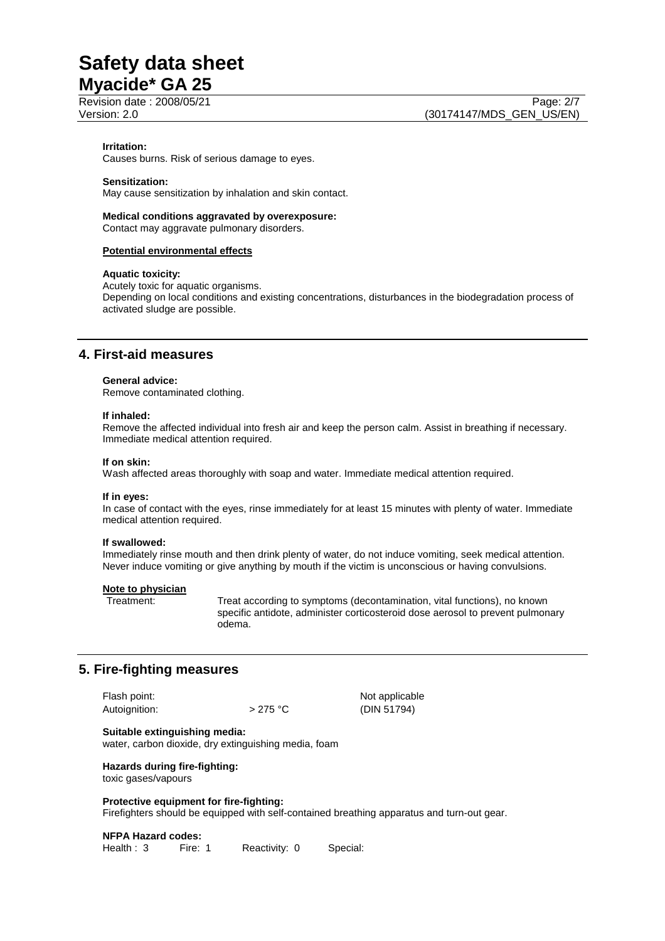Revision date : 2008/05/21 Page: 2/7

## **Irritation:**

Causes burns. Risk of serious damage to eyes.

## **Sensitization:**

May cause sensitization by inhalation and skin contact.

**Medical conditions aggravated by overexposure:**  Contact may aggravate pulmonary disorders.

#### **Potential environmental effects**

### **Aquatic toxicity:**

Acutely toxic for aquatic organisms. Depending on local conditions and existing concentrations, disturbances in the biodegradation process of activated sludge are possible.

# **4. First-aid measures**

#### **General advice:**

Remove contaminated clothing.

#### **If inhaled:**

Remove the affected individual into fresh air and keep the person calm. Assist in breathing if necessary. Immediate medical attention required.

#### **If on skin:**

Wash affected areas thoroughly with soap and water. Immediate medical attention required.

### **If in eyes:**

In case of contact with the eyes, rinse immediately for at least 15 minutes with plenty of water. Immediate medical attention required.

#### **If swallowed:**

Immediately rinse mouth and then drink plenty of water, do not induce vomiting, seek medical attention. Never induce vomiting or give anything by mouth if the victim is unconscious or having convulsions.

#### **Note to physician**

Treatment: Treat according to symptoms (decontamination, vital functions), no known specific antidote, administer corticosteroid dose aerosol to prevent pulmonary odema.

# **5. Fire-fighting measures**

| Flash point:  |           | Not applicable |
|---------------|-----------|----------------|
| Autoignition: | $>275$ °C | (DIN 51794)    |

**Suitable extinguishing media:** 

water, carbon dioxide, dry extinguishing media, foam

**Hazards during fire-fighting:**  toxic gases/vapours

# **Protective equipment for fire-fighting:**

Firefighters should be equipped with self-contained breathing apparatus and turn-out gear.

#### **NFPA Hazard codes:**

Health : 3 Fire: 1 Reactivity: 0 Special: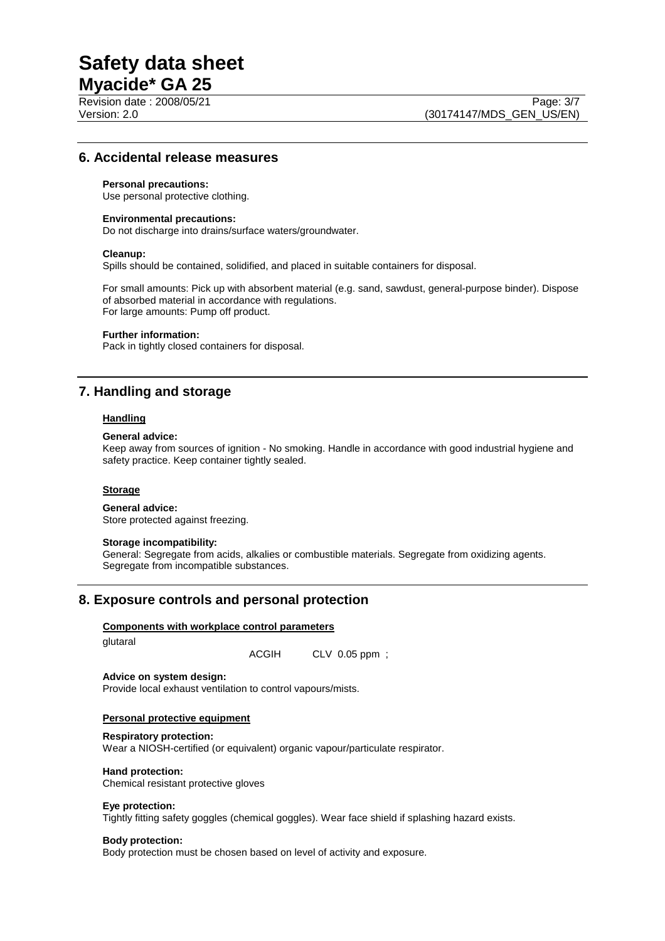Revision date : 2008/05/21 Page: 3/7

# **6. Accidental release measures**

### **Personal precautions:**

Use personal protective clothing.

### **Environmental precautions:**

Do not discharge into drains/surface waters/groundwater.

#### **Cleanup:**

Spills should be contained, solidified, and placed in suitable containers for disposal.

For small amounts: Pick up with absorbent material (e.g. sand, sawdust, general-purpose binder). Dispose of absorbed material in accordance with regulations. For large amounts: Pump off product.

### **Further information:**

Pack in tightly closed containers for disposal.

# **7. Handling and storage**

## **Handling**

## **General advice:**

Keep away from sources of ignition - No smoking. Handle in accordance with good industrial hygiene and safety practice. Keep container tightly sealed.

# **Storage**

### **General advice:**

Store protected against freezing.

## **Storage incompatibility:**

General: Segregate from acids, alkalies or combustible materials. Segregate from oxidizing agents. Segregate from incompatible substances.

# **8. Exposure controls and personal protection**

## **Components with workplace control parameters**

glutaral

ACGIH CLV 0.05 ppm ;

#### **Advice on system design:**

Provide local exhaust ventilation to control vapours/mists.

## **Personal protective equipment**

#### **Respiratory protection:**

Wear a NIOSH-certified (or equivalent) organic vapour/particulate respirator.

#### **Hand protection:**

Chemical resistant protective gloves

#### **Eye protection:**

Tightly fitting safety goggles (chemical goggles). Wear face shield if splashing hazard exists.

#### **Body protection:**

Body protection must be chosen based on level of activity and exposure.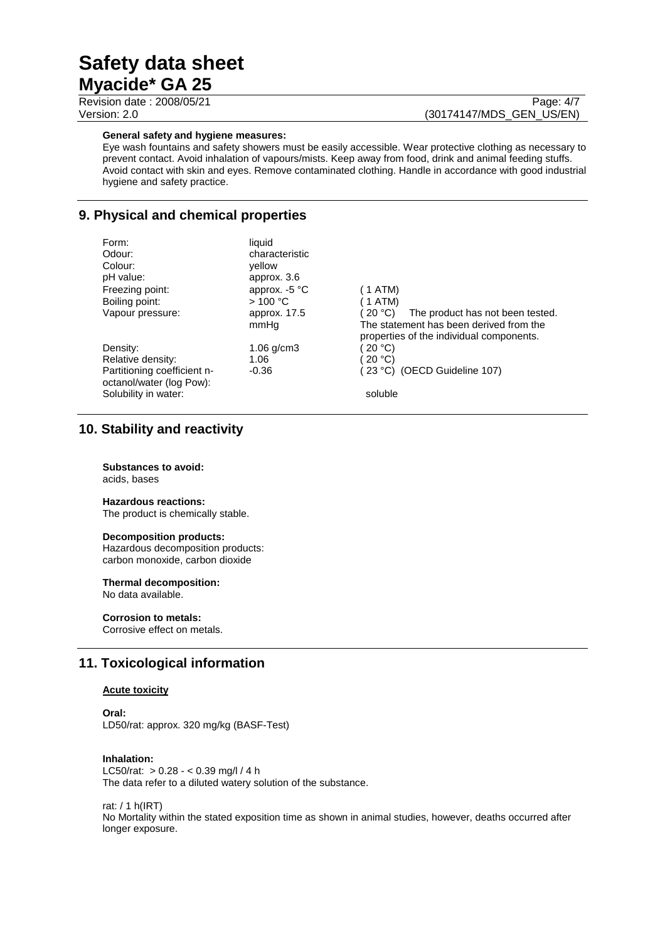Revision date : 2008/05/21 Page: 4/7

# Version: 2.0 (30174147/MDS\_GEN\_US/EN)

## **General safety and hygiene measures:**

Eye wash fountains and safety showers must be easily accessible. Wear protective clothing as necessary to prevent contact. Avoid inhalation of vapours/mists. Keep away from food, drink and animal feeding stuffs. Avoid contact with skin and eyes. Remove contaminated clothing. Handle in accordance with good industrial hygiene and safety practice.

# **9. Physical and chemical properties**

| Form:                       | liquid          |                                              |
|-----------------------------|-----------------|----------------------------------------------|
| Odour:                      | characteristic  |                                              |
| Colour:                     | vellow          |                                              |
| pH value:                   | approx. 3.6     |                                              |
| Freezing point:             | approx. $-5$ °C | (1 ATM)                                      |
| Boiling point:              | >100 °C         | $1$ ATM)                                     |
| Vapour pressure:            | approx. 17.5    | (20 °C).<br>The product has not been tested. |
|                             | mmHq            | The statement has been derived from the      |
|                             |                 | properties of the individual components.     |
| Density:                    | $1.06$ g/cm3    | 20 °C                                        |
| Relative density:           | 1.06            | 20 °C                                        |
| Partitioning coefficient n- | $-0.36$         | (23 °C) (OECD Guideline 107)                 |
| octanol/water (log Pow):    |                 |                                              |
| Solubility in water:        |                 | soluble                                      |

# **10. Stability and reactivity**

**Substances to avoid:** acids, bases

# **Hazardous reactions:**

The product is chemically stable.

## **Decomposition products:**

Hazardous decomposition products: carbon monoxide, carbon dioxide

## **Thermal decomposition:**

No data available.

# **Corrosion to metals:**

Corrosive effect on metals.

# **11. Toxicological information**

# **Acute toxicity**

# **Oral:**

LD50/rat: approx. 320 mg/kg (BASF-Test)

### **Inhalation:**

LC50/rat: > 0.28 - < 0.39 mg/l / 4 h The data refer to a diluted watery solution of the substance.

rat: / 1 h(IRT)

No Mortality within the stated exposition time as shown in animal studies, however, deaths occurred after longer exposure.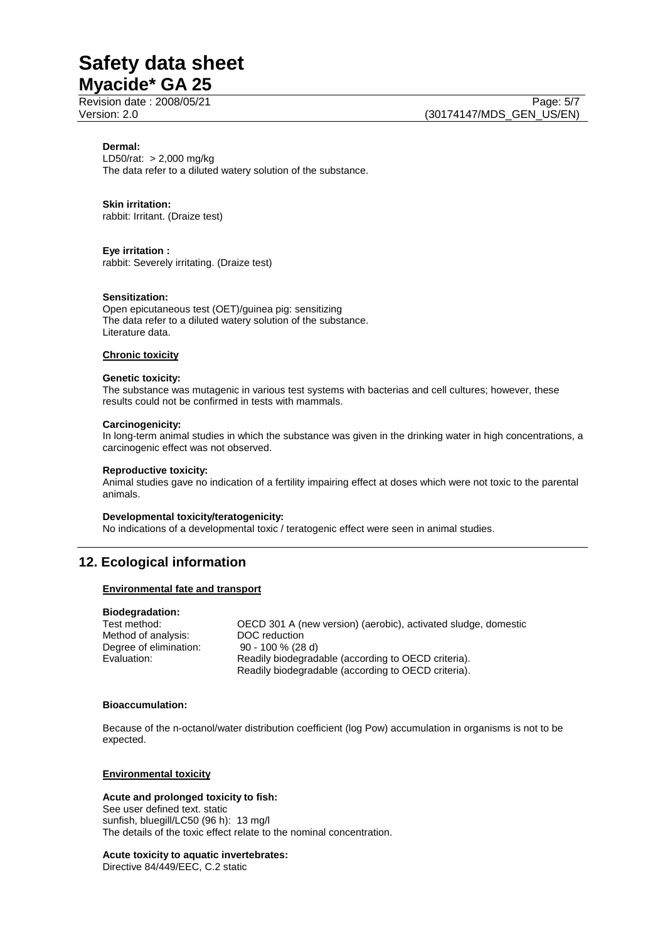Revision date : 2008/05/21 Page: 5/7

## **Dermal:**

LD50/rat: > 2,000 mg/kg The data refer to a diluted watery solution of the substance.

## **Skin irritation:**

rabbit: Irritant. (Draize test)

## **Eye irritation :**

rabbit: Severely irritating. (Draize test)

#### **Sensitization:**

Open epicutaneous test (OET)/guinea pig: sensitizing The data refer to a diluted watery solution of the substance. Literature data.

# **Chronic toxicity**

#### **Genetic toxicity:**

The substance was mutagenic in various test systems with bacterias and cell cultures; however, these results could not be confirmed in tests with mammals.

#### **Carcinogenicity:**

In long-term animal studies in which the substance was given in the drinking water in high concentrations, a carcinogenic effect was not observed.

#### **Reproductive toxicity:**

Animal studies gave no indication of a fertility impairing effect at doses which were not toxic to the parental animals.

#### **Developmental toxicity/teratogenicity:**

No indications of a developmental toxic / teratogenic effect were seen in animal studies.

# **12. Ecological information**

#### **Environmental fate and transport**

# **Biodegradation:**

Method of analysis: DOC reduction<br>Degree of elimination: 90 - 100 % (28 d) Degree of elimination:

Test method: OECD 301 A (new version) (aerobic), activated sludge, domestic Evaluation: Readily biodegradable (according to OECD criteria). Readily biodegradable (according to OECD criteria).

#### **Bioaccumulation:**

Because of the n-octanol/water distribution coefficient (log Pow) accumulation in organisms is not to be expected.

### **Environmental toxicity**

#### **Acute and prolonged toxicity to fish:**

See user defined text. static sunfish, bluegill/LC50 (96 h): 13 mg/l The details of the toxic effect relate to the nominal concentration.

#### **Acute toxicity to aquatic invertebrates:**

Directive 84/449/EEC, C.2 static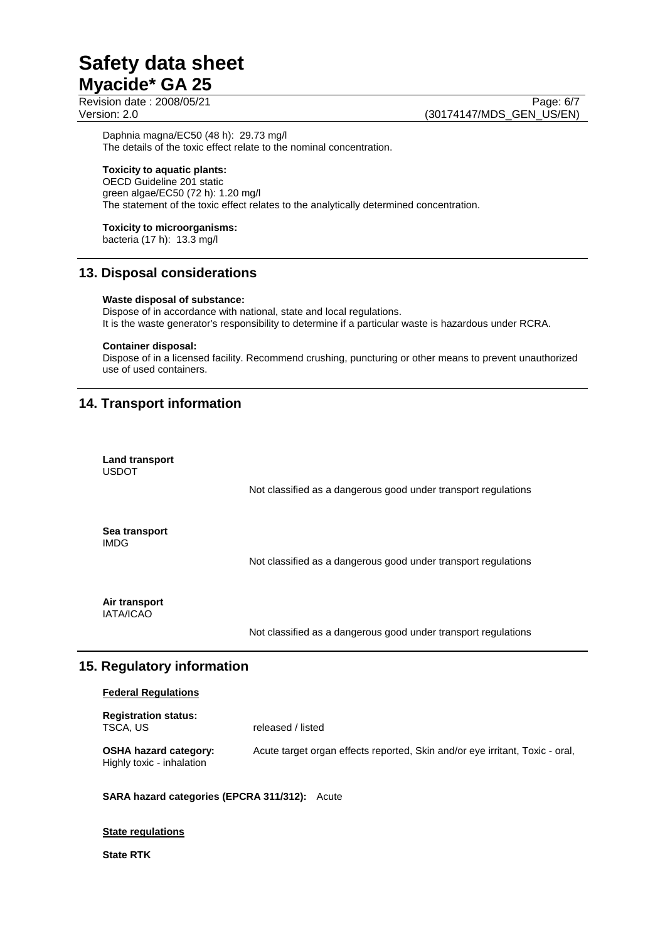Revision date : 2008/05/21 Page: 6/7 Version: 2.0 (30174147/MDS\_GEN\_US/EN)

Daphnia magna/EC50 (48 h): 29.73 mg/l The details of the toxic effect relate to the nominal concentration.

# **Toxicity to aquatic plants:**

OECD Guideline 201 static green algae/EC50 (72 h): 1.20 mg/l The statement of the toxic effect relates to the analytically determined concentration.

# **Toxicity to microorganisms:**

bacteria (17 h): 13.3 mg/l

# **13. Disposal considerations**

## **Waste disposal of substance:**

Dispose of in accordance with national, state and local regulations. It is the waste generator's responsibility to determine if a particular waste is hazardous under RCRA.

## **Container disposal:**

Dispose of in a licensed facility. Recommend crushing, puncturing or other means to prevent unauthorized use of used containers.

# **14. Transport information**

| <b>Land transport</b><br><b>USDOT</b> |                                                                |
|---------------------------------------|----------------------------------------------------------------|
|                                       | Not classified as a dangerous good under transport regulations |
| Sea transport<br>IMDG.                | Not classified as a dangerous good under transport regulations |
| Air transport<br><b>IATA/ICAO</b>     |                                                                |
|                                       | Not classified as a dangerous good under transport regulations |

# **15. Regulatory information**

# **Federal Regulations**

| <b>Registration status:</b><br>TSCA, US                   | released / listed                                                            |
|-----------------------------------------------------------|------------------------------------------------------------------------------|
| <b>OSHA hazard category:</b><br>Highly toxic - inhalation | Acute target organ effects reported, Skin and/or eye irritant, Toxic - oral, |

# **SARA hazard categories (EPCRA 311/312):** Acute

## **State regulations**

# **State RTK**